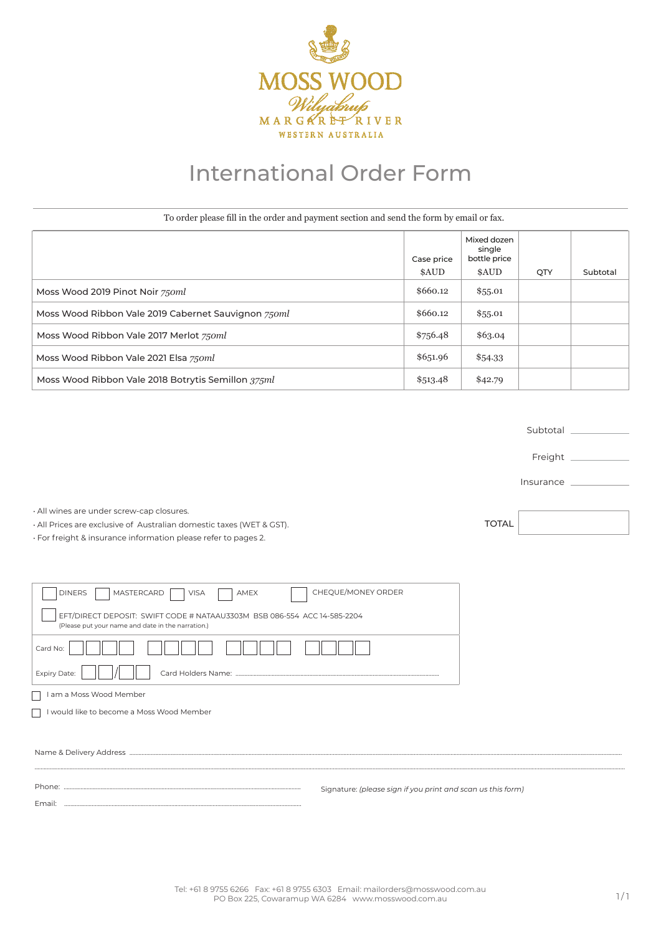

# International Order Form

To order please fill in the order and payment section and send the form by email or fax.

|                                                     | Case price | Mixed dozen<br>single<br>bottle price |     |          |
|-----------------------------------------------------|------------|---------------------------------------|-----|----------|
|                                                     | \$AUD      | \$AUD                                 | QTY | Subtotal |
| Moss Wood 2019 Pinot Noir 750ml                     | \$660.12   | \$55.01                               |     |          |
| Moss Wood Ribbon Vale 2019 Cabernet Sauvignon 750ml | \$660.12   | \$55.01                               |     |          |
| Moss Wood Ribbon Vale 2017 Merlot 750ml             | \$756.48   | \$63.04                               |     |          |
| Moss Wood Ribbon Vale 2021 Elsa 750ml               | \$651.96   | \$54.33                               |     |          |
| Moss Wood Ribbon Vale 2018 Botrytis Semillon 375ml  | \$513.48   | \$42.79                               |     |          |

Subtotal \_\_ Freight Insurance TOTAL ON DINERS MASTERCARD VISA AMEX CHEQUE/MONEY ORDER • All wines are under screw-cap closures. • All Prices are exclusive of Australian domestic taxes (WET & GST). • For freight & insurance information please refer to pages 2.

| EFT/DIRECT DEPOSIT: SWIFT CODE # NATAAU3303M BSB 086-554 ACC 14-585-2204<br>(Please put your name and date in the narration.) |                                                             |
|-------------------------------------------------------------------------------------------------------------------------------|-------------------------------------------------------------|
| Card No:                                                                                                                      |                                                             |
| <b>Expiry Date:</b>                                                                                                           |                                                             |
| I am a Moss Wood Member                                                                                                       |                                                             |
| □ I would like to become a Moss Wood Member                                                                                   |                                                             |
|                                                                                                                               |                                                             |
|                                                                                                                               |                                                             |
| Phone:                                                                                                                        | Signature: (please sign if you print and scan us this form) |
| Emai                                                                                                                          |                                                             |